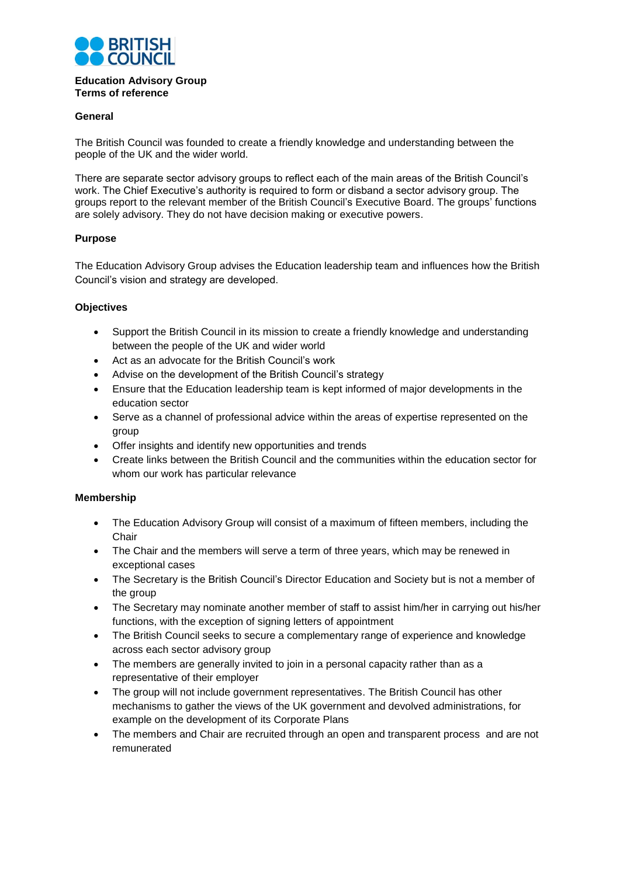

#### **Education Advisory Group Terms of reference**

## **General**

The British Council was founded to create a friendly knowledge and understanding between the people of the UK and the wider world.

There are separate sector advisory groups to reflect each of the main areas of the British Council's work. The Chief Executive's authority is required to form or disband a sector advisory group. The groups report to the relevant member of the British Council's Executive Board. The groups' functions are solely advisory. They do not have decision making or executive powers.

# **Purpose**

The Education Advisory Group advises the Education leadership team and influences how the British Council's vision and strategy are developed.

### **Objectives**

- Support the British Council in its mission to create a friendly knowledge and understanding between the people of the UK and wider world
- Act as an advocate for the British Council's work
- Advise on the development of the British Council's strategy
- Ensure that the Education leadership team is kept informed of major developments in the education sector
- Serve as a channel of professional advice within the areas of expertise represented on the group
- Offer insights and identify new opportunities and trends
- Create links between the British Council and the communities within the education sector for whom our work has particular relevance

### **Membership**

- The Education Advisory Group will consist of a maximum of fifteen members, including the **Chair**
- The Chair and the members will serve a term of three years, which may be renewed in exceptional cases
- The Secretary is the British Council's Director Education and Society but is not a member of the group
- The Secretary may nominate another member of staff to assist him/her in carrying out his/her functions, with the exception of signing letters of appointment
- The British Council seeks to secure a complementary range of experience and knowledge across each sector advisory group
- The members are generally invited to join in a personal capacity rather than as a representative of their employer
- The group will not include government representatives. The British Council has other mechanisms to gather the views of the UK government and devolved administrations, for example on the development of its Corporate Plans
- The members and Chair are recruited through an open and transparent process and are not remunerated